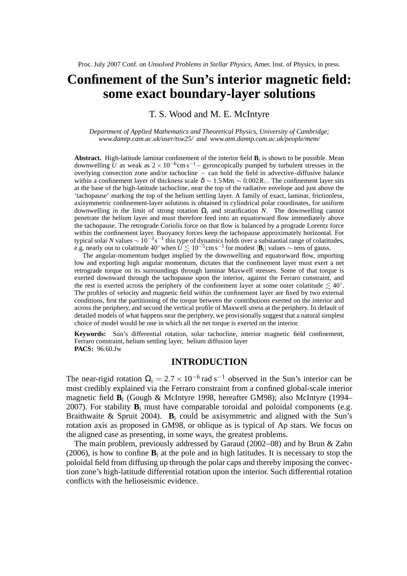# **Confinement of the Sun's interior magnetic field: some exact boundary-layer solutions**

T. S. Wood and M. E. McIntyre

*Department of Applied Mathematics and Theoretical Physics, University of Cambridge; www.damtp.cam.ac.uk/user/tsw25/ and www.atm.damtp.cam.ac.uk/people/mem/*

**Abstract.** High-latitude laminar confinement of the interior field **B**<sup>i</sup> is shown to be possible. Mean downwelling  $\tilde{U}$  as weak as  $2 \times 10^{-6}$ cm s<sup>-1</sup> – gyroscopically pumped by turbulent stresses in the overlying convection zone and/or tachocline – can hold the field in advective–diffusive balance within a confinement layer of thickness scale  $\delta \sim 1.5$  Mm  $\sim 0.002 R_{\odot}$ . The confinement layer sits at the base of the high-latitude tachocline, near the top of the radiative envelope and just above the 'tachopause' marking the top of the helium settling layer. A family of exact, laminar, frictionless, axisymmetric confinement-layer solutions is obtained in cylindrical polar coordinates, for uniform downwelling in the limit of strong rotation  $\Omega_i$  and stratification N. The downwelling cannot penetrate the helium layer and must therefore feed into an equatorward flow immediately above the tachopause. The retrograde Coriolis force on that flow is balanced by a prograde Lorentz force within the confinement layer. Buoyancy forces keep the tachopause approximately horizontal. For typical solar *N* values ~ 10<sup>-3</sup>s<sup>-1</sup> this type of dynamics holds over a substantial range of colatitudes, e.g. nearly out to colatitude 40° when  $U \lesssim 10^{-5}$  cm s<sup>-1</sup> for modest  $|\mathbf{B}_i|$  values  $\sim$  tens of gauss.

The angular-momentum budget implied by the downwelling and equatorward flow, importing low and exporting high angular momentum, dictates that the confinement layer must exert a net retrograde torque on its surroundings through laminar Maxwell stresses. Some of that torque is exerted downward through the tachopause upon the interior, against the Ferraro constraint, and the rest is exerted across the periphery of the confinement layer at some outer colatitude  $\lesssim 40^{\circ}$ . The profiles of velocity and magnetic field within the confinement layer are fixed by two external conditions, first the partitioning of the torque between the contributions exerted on the interior and across the periphery, and second the vertical profile of Maxwell stress at the periphery. In default of detailed models of what happens near the periphery, we provisionally suggest that a natural simplest choice of model would be one in which all the net torque is exerted on the interior.

**Keywords:** Sun's differential rotation, solar tachocline, interior magnetic field confinement, Ferraro constraint, helium settling layer, helium diffusion layer **PACS:** 96.60.Jw

## **INTRODUCTION**

The near-rigid rotation  $\Omega_i = 2.7 \times 10^{-6}$  rad s<sup>-1</sup> observed in the Sun's interior can be most credibly explained via the Ferraro constraint from a confined global-scale interior magnetic field **B**<sup>i</sup> (Gough & McIntyre 1998, hereafter GM98); also McIntyre (1994– 2007). For stability  $B_i$  must have comparable toroidal and poloidal components (e.g. Braithwaite & Spruit 2004). **B**<sub>i</sub> could be axisymmetric and aligned with the Sun's rotation axis as proposed in GM98, or oblique as is typical of Ap stars. We focus on the aligned case as presenting, in some ways, the greatest problems.

The main problem, previously addressed by Garaud (2002–08) and by Brun & Zahn (2006), is how to confine  $\mathbf{B}_i$  at the pole and in high latitudes. It is necessary to stop the poloidal field from diffusing up through the polar caps and thereby imposing the convection zone's high-latitude differential rotation upon the interior. Such differential rotation conflicts with the helioseismic evidence.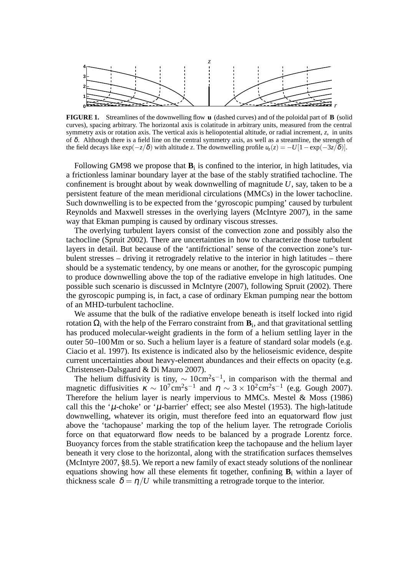

**FIGURE 1.** Streamlines of the downwelling flow **u** (dashed curves) and of the poloidal part of **B** (solid curves), spacing arbitrary. The horizontal axis is colatitude in arbitrary units, measured from the central symmetry axis or rotation axis. The vertical axis is heliopotential altitude, or radial increment, *z*, in units of  $\delta$ . Although there is a field line on the central symmetry axis, as well as a streamline, the strength of the field decays like  $\exp(-z/\delta)$  with altitude *z*. The downwelling profile  $u_z(z) = -U[1-\exp(-3z/\delta)]$ .

Following GM98 we propose that  $B_i$  is confined to the interior, in high latitudes, via a frictionless laminar boundary layer at the base of the stably stratified tachocline. The confinement is brought about by weak downwelling of magnitude *U*, say, taken to be a persistent feature of the mean meridional circulations (MMCs) in the lower tachocline. Such downwelling is to be expected from the 'gyroscopic pumping' caused by turbulent Reynolds and Maxwell stresses in the overlying layers (McIntyre 2007), in the same way that Ekman pumping is caused by ordinary viscous stresses.

The overlying turbulent layers consist of the convection zone and possibly also the tachocline (Spruit 2002). There are uncertainties in how to characterize those turbulent layers in detail. But because of the 'antifrictional' sense of the convection zone's turbulent stresses – driving it retrogradely relative to the interior in high latitudes – there should be a systematic tendency, by one means or another, for the gyroscopic pumping to produce downwelling above the top of the radiative envelope in high latitudes. One possible such scenario is discussed in McIntyre (2007), following Spruit (2002). There the gyroscopic pumping is, in fact, a case of ordinary Ekman pumping near the bottom of an MHD-turbulent tachocline.

We assume that the bulk of the radiative envelope beneath is itself locked into rigid rotation  $\Omega_{\rm i}$  with the help of the Ferraro constraint from  ${\bf B}_{\rm i}$ , and that gravitational settling has produced molecular-weight gradients in the form of a helium settling layer in the outer 50–100Mm or so. Such a helium layer is a feature of standard solar models (e.g. Ciacio et al. 1997). Its existence is indicated also by the helioseismic evidence, despite current uncertainties about heavy-element abundances and their effects on opacity (e.g. Christensen-Dalsgaard & Di Mauro 2007).

The helium diffusivity is tiny,  $\sim 10 \text{cm}^2 \text{s}^{-1}$ , in comparison with the thermal and magnetic diffusivities  $\kappa \sim 10^7 \text{cm}^2 \text{s}^{-1}$  and  $\eta \sim 3 \times 10^2 \text{cm}^2 \text{s}^{-1}$  (e.g. Gough 2007). Therefore the helium layer is nearly impervious to MMCs. Mestel  $&$  Moss (1986) call this the ' $\mu$ -choke' or ' $\mu$ -barrier' effect; see also Mestel (1953). The high-latitude downwelling, whatever its origin, must therefore feed into an equatorward flow just above the 'tachopause' marking the top of the helium layer. The retrograde Coriolis force on that equatorward flow needs to be balanced by a prograde Lorentz force. Buoyancy forces from the stable stratification keep the tachopause and the helium layer beneath it very close to the horizontal, along with the stratification surfaces themselves (McIntyre 2007, §8.5). We report a new family of exact steady solutions of the nonlinear equations showing how all these elements fit together, confining  $\mathbf{B}_i$  within a layer of thickness scale  $\delta = \eta/U$  while transmitting a retrograde torque to the interior.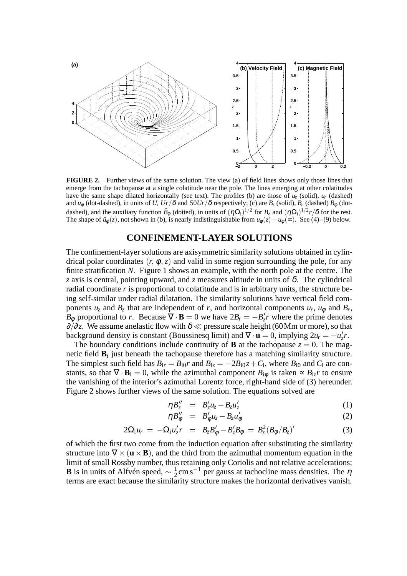

**FIGURE 2.** Further views of the same solution. The view (a) of field lines shows only those lines that emerge from the tachopause at a single colatitude near the pole. The lines emerging at other colatitudes have the same shape dilated horizontally (see text). The profiles (b) are those of  $u_z$  (solid),  $u_r$  (dashed) and  $u_{\phi}$  (dot-dashed), in units of *U*,  $Ur/\delta$  and  $50Ur/\delta$  respectively; (c) are  $B_z$  (solid),  $B_r$  (dashed)  $B_{\phi}$  (dotdashed), and the auxiliary function  $\hat{B}_{\phi}$  (dotted), in units of  $(\eta \Omega_i)^{1/2}$  for  $B_z$  and  $(\eta \Omega_i)^{1/2}r/\delta$  for the rest. The shape of  $\hat{u}_{\phi}(z)$ , not shown in (b), is nearly indistinguishable from  $u_{\phi}(z) - u_{\phi}(\infty)$ . See (4)–(9) below.

## **CONFINEMENT-LAYER SOLUTIONS**

The confinement-layer solutions are axisymmetric similarity solutions obtained in cylindrical polar coordinates  $(r, \phi, z)$  and valid in some region surrounding the pole, for any finite stratification N. Figure 1 shows an example, with the north pole at the centre. The *z* axis is central, pointing upward, and *z* measures altitude in units of  $\delta$ . The cylindrical radial coordinate *r* is proportional to colatitude and is in arbitrary units, the structure being self-similar under radial dilatation. The similarity solutions have vertical field components  $u_z$  and  $B_z$  that are independent of *r*, and horizontal components  $u_r$ ,  $u_\phi$  and  $B_r$ , *B*<sup> $\phi$ </sup> proportional to *r*. Because  $\nabla \cdot \mathbf{B} = 0$  we have  $2B_r = -B'_z r$  where the prime denotes  $∂/∂z$ . We assume anelastic flow with  $δ \ll$  pressure scale height (60Mm or more), so that background density is constant (Boussinesq limit) and  $\nabla \cdot \mathbf{u} = 0$ , implying  $2u_r = -u'_z r$ .

The boundary conditions include continuity of **B** at the tachopause  $z = 0$ . The magnetic field **B**<sup>i</sup> just beneath the tachopause therefore has a matching similarity structure. The simplest such field has  $B_{ir} = B_{i0}r$  and  $B_{iz} = -2B_{i0}z + C_i$ , where  $B_{i0}$  and  $C_i$  are constants, so that  $\nabla \cdot \mathbf{B}_i = 0$ , while the azimuthal component  $B_{i\phi}$  is taken  $\infty$   $B_{i\phi}$ *r* to ensure the vanishing of the interior's azimuthal Lorentz force, right-hand side of (3) hereunder. Figure 2 shows further views of the same solution. The equations solved are

$$
\eta B_z'' = B_z' u_z - B_z u_z' \tag{1}
$$

$$
\eta B''_{\phi} = B'_{\phi} u_{z} - B_{z} u'_{\phi} \tag{2}
$$

$$
2\Omega_{\mathbf{i}}u_r = -\Omega_{\mathbf{i}}u'_z r = B_z B_{\phi}^{\prime} - B_z^{\prime} B_{\phi} = B_z^2 (B_{\phi}/B_z)^{\prime}
$$
 (3)

of which the first two come from the induction equation after substituting the similarity structure into  $\nabla \times (\mathbf{u} \times \mathbf{B})$ , and the third from the azimuthal momentum equation in the limit of small Rossby number, thus retaining only Coriolis and not relative accelerations; **B** is in units of Alfvén speed,  $\sim \frac{1}{2}$  $\frac{1}{2}$ cm s<sup>-1</sup> per gauss at tachocline mass densities. The  $\eta$ terms are exact because the similarity structure makes the horizontal derivatives vanish.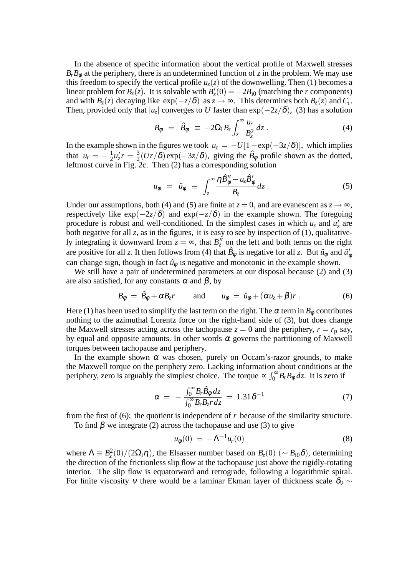In the absence of specific information about the vertical profile of Maxwell stresses  $B_r B_\phi$  at the periphery, there is an undetermined function of *z* in the problem. We may use this freedom to specify the vertical profile  $u_z(z)$  of the downwelling. Then (1) becomes a linear problem for  $B_z(z)$ . It is solvable with  $B'_z(0) = -2B_{i0}$  (matching the *r* components) and with  $B_z(z)$  decaying like  $exp(-z/\delta)$  as  $z \to \infty$ . This determines both  $B_z(z)$  and  $C_i$ . Then, provided only that  $|u_z|$  converges to  $U$  faster than exp $(-2z/\delta)$ , (3) has a solution

$$
B_{\phi} = \hat{B}_{\phi} \equiv -2\Omega_{\rm i}B_{z} \int_{z}^{\infty} \frac{u_{r}}{B_{z}^{2}} dz \,. \tag{4}
$$

In the example shown in the figures we took  $u_z = -U[1-\exp(-3z/\delta)]$ , which implies that  $u_r = -\frac{1}{2}$  $\frac{1}{2}u'_{z}r = \frac{3}{2}$  $\frac{3}{2}(Ur/\delta) \exp(-3z/\delta)$ , giving the  $\hat{B}_{\phi}$  profile shown as the dotted, leftmost curve in Fig. 2c. Then (2) has a corresponding solution

$$
u_{\phi} = \hat{u}_{\phi} \equiv \int_{z}^{\infty} \frac{\eta \hat{B}_{\phi}'' - u_{z} \hat{B}_{\phi}'}{B_{z}} dz.
$$
 (5)

Under our assumptions, both (4) and (5) are finite at  $z = 0$ , and are evanescent as  $z \rightarrow \infty$ , respectively like  $\exp(-2z/\delta)$  and  $\exp(-z/\delta)$  in the example shown. The foregoing procedure is robust and well-conditioned. In the simplest cases in which  $u_z$  and  $u'_z$  are both negative for all  $z$ , as in the figures, it is easy to see by inspection of  $(1)$ , qualitatively integrating it downward from  $z = \infty$ , that  $B''_z$  on the left and both terms on the right are positive for all *z*. It then follows from (4) that  $\hat{B}_{\phi}$  is negative for all *z*. But  $\hat{u}_{\phi}$  and  $\hat{u}'_{\phi}$ can change sign, though in fact  $\hat{u}_{\phi}$  is negative and monotonic in the example shown.

We still have a pair of undetermined parameters at our disposal because (2) and (3) are also satisfied, for any constants  $\alpha$  and  $\beta$ , by

$$
B_{\phi} = \hat{B}_{\phi} + \alpha B_{z} r \quad \text{and} \quad u_{\phi} = \hat{u}_{\phi} + (\alpha u_{z} + \beta) r \,. \tag{6}
$$

Here (1) has been used to simplify the last term on the right. The  $\alpha$  term in  $B_{\phi}$  contributes nothing to the azimuthal Lorentz force on the right-hand side of (3), but does change the Maxwell stresses acting across the tachopause  $z = 0$  and the periphery,  $r = r_p$  say, by equal and opposite amounts. In other words  $\alpha$  governs the partitioning of Maxwell torques between tachopause and periphery.

In the example shown  $\alpha$  was chosen, purely on Occam's-razor grounds, to make the Maxwell torque on the periphery zero. Lacking information about conditions at the periphery, zero is arguably the simplest choice. The torque  $\propto \int_0^\infty B_r B_\phi dz$ . It is zero if

$$
\alpha = -\frac{\int_0^\infty B_r \hat{B}_\phi dz}{\int_0^\infty B_r B_z r dz} = 1.31 \delta^{-1}
$$
\n(7)

from the first of (6); the quotient is independent of *r* because of the similarity structure. To find  $\beta$  we integrate (2) across the tachopause and use (3) to give

$$
u_{\phi}(0) = -\Lambda^{-1} u_r(0) \tag{8}
$$

where  $\Lambda \equiv B_z^2(0)/(2\Omega_i \eta)$ , the Elsasser number based on  $B_z(0)$  ( $\sim B_{i0}\delta$ ), determining the direction of the frictionless slip flow at the tachopause just above the rigidly-rotating interior. The slip flow is equatorward and retrograde, following a logarithmic spiral. For finite viscosity v there would be a laminar Ekman layer of thickness scale  $\delta_v \sim$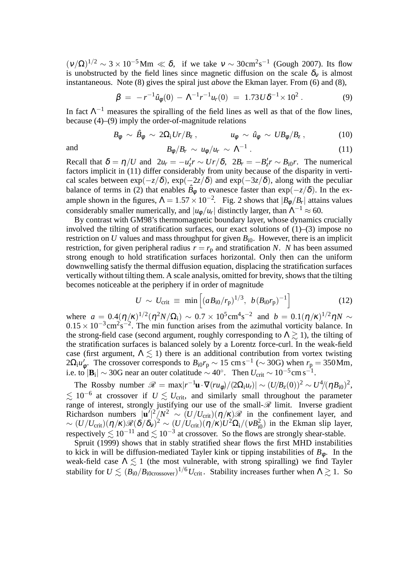$(\nu/\Omega)^{1/2} \sim 3 \times 10^{-5}$  Mm  $\ll \delta$ , if we take  $\nu \sim 30$  cm<sup>2</sup>s<sup>-1</sup> (Gough 2007). Its flow is unobstructed by the field lines since magnetic diffusion on the scale  $\delta_{v}$  is almost instantaneous. Note (8) gives the spiral just *above* the Ekman layer. From (6) and (8),

$$
\beta = -r^{-1}\hat{u}_{\phi}(0) - \Lambda^{-1}r^{-1}u_r(0) = 1.73U\delta^{-1} \times 10^2.
$$
 (9)

In fact  $\Lambda^{-1}$  measures the spiralling of the field lines as well as that of the flow lines, because (4)–(9) imply the order-of-magnitude relations

$$
B_{\phi} \sim \hat{B}_{\phi} \sim 2\Omega_{\rm i} U r / B_z \,, \qquad \qquad u_{\phi} \sim \hat{u}_{\phi} \sim U B_{\phi} / B_z \,, \tag{10}
$$

and 
$$
B_{\phi}/B_r \sim u_{\phi}/u_r \sim \Lambda^{-1} \ . \tag{11}
$$

Recall that  $\delta = \eta/U$  and  $2u_r = -u'_z r \sim Ur/\delta$ ,  $2B_r = -B'_z r \sim B_{i0}r$ . The numerical factors implicit in (11) differ considerably from unity because of the disparity in vertical scales between  $\exp(-z/\delta)$ ,  $\exp(-2z/\delta)$  and  $\exp(-3z/\delta)$ , along with the peculiar balance of terms in (2) that enables  $\hat{B}_{\phi}$  to evanesce faster than  $\exp(-z/\delta)$ . In the example shown in the figures,  $\Lambda = 1.57 \times 10^{-2}$ . Fig. 2 shows that  $|B_{\phi}/B_{r}|$  attains values considerably smaller numerically, and  $|u_{\phi}/u_r|$  distinctly larger, than  $\Lambda^{-1} \approx 60$ .

By contrast with GM98's thermomagnetic boundary layer, whose dynamics crucially involved the tilting of stratification surfaces, our exact solutions of (1)–(3) impose no restriction on *U* values and mass throughput for given  $B_{i0}$ . However, there is an implicit restriction, for given peripheral radius  $r = r_p$  and stratification *N*. *N* has been assumed strong enough to hold stratification surfaces horizontal. Only then can the uniform downwelling satisfy the thermal diffusion equation, displacing the stratification surfaces vertically without tilting them. A scale analysis, omitted for brevity, shows that the tilting becomes noticeable at the periphery if in order of magnitude

$$
U \sim U_{\rm crit} \equiv \min \left[ (a B_{\rm i0}/r_{\rm p})^{1/3}, \ b (B_{\rm i0}r_{\rm p})^{-1} \right] \tag{12}
$$

where  $a = 0.4(\eta/k)^{1/2}(\eta^2 N/\Omega_i) \sim 0.7 \times 10^5 \text{cm}^4 \text{s}^{-2}$  and  $b = 0.1(\eta/k)^{1/2} \eta N \sim$  $0.15 \times 10^{-3}$  cm<sup>2</sup>s<sup>-2</sup>. The min function arises from the azimuthal vorticity balance. In the strong-field case (second argument, roughly corresponding to  $\Lambda \gtrsim 1$ ), the tilting of the stratification surfaces is balanced solely by a Lorentz force-curl. In the weak-field case (first argument,  $\Lambda \lesssim 1$ ) there is an additional contribution from vortex twisting  $2\Omega_i u'_\phi$ . The crossover corresponds to  $B_{i0}r_p \sim 15$  cm s<sup>-1</sup> ( $\sim$  30G) when  $r_p = 350$  Mm, i.e. to  $|\mathbf{B}_i| \sim 30G$  near an outer colatitude  $\sim 40^\circ$ . Then  $U_{\text{crit}} \sim 10^{-5} \text{cm s}^{-1}$ .

The Rossby number  $\mathcal{R} = \max|r^{-1}\mathbf{u}\cdot\nabla(r\mathbf{u}_{\phi})/(2\Omega_i\mathbf{u}_r)| \sim (U/B_z(0))^2 \sim U^4/(\eta B_{i0})^2$ ,  $\lesssim 10^{-6}$  at crossover if  $U \lesssim U_{\rm crit}$ , and similarly small throughout the parameter range of interest, strongly justifying our use of the small- $\mathscr R$  limit. Inverse gradient Richardson numbers  $|\mathbf{u}'|^2/N^2 \sim (U/U_{\text{crit}})(\eta/\kappa)\mathcal{R}$  in the confinement layer, and  $\sim (U/U_{\text{crit}})(\eta/\kappa)\mathcal{R}(\delta/\delta_v)^2 \sim (U/U_{\text{crit}})(\eta/\kappa)U^2\Omega_i/(\nu B_{i0}^2)$  in the Ekman slip layer, respectively  $\lesssim 10^{-11}$  and  $\lesssim 10^{-3}$  at crossover. So the flows are strongly shear-stable.

Spruit (1999) shows that in stably stratified shear flows the first MHD instabilities to kick in will be diffusion-mediated Tayler kink or tipping instabilities of  $B_{\phi}$ . In the weak-field case  $\Lambda \lesssim 1$  (the most vulnerable, with strong spiralling) we find Tayler stability for  $U \lesssim (B_{i0}/B_{i0crossover})^{1/6}U_{\text{crit}}$ . Stability increases further when  $\Lambda \gtrsim 1$ . So